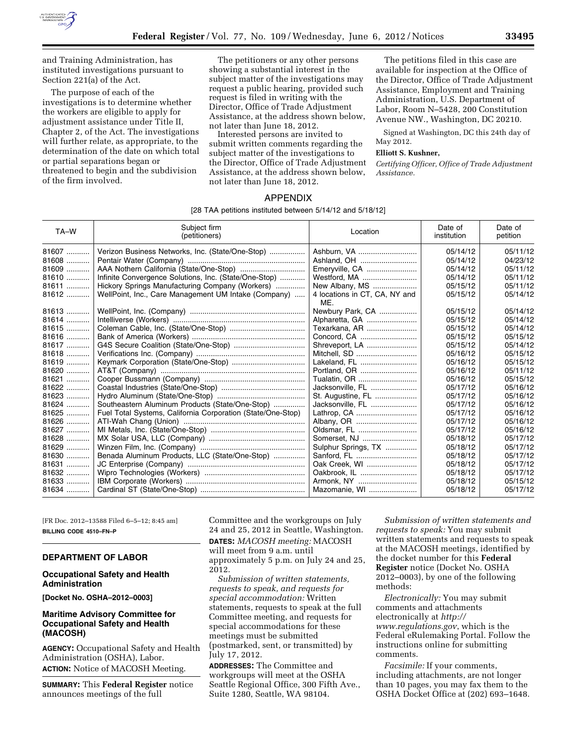

and Training Administration, has instituted investigations pursuant to Section 221(a) of the Act.

The purpose of each of the investigations is to determine whether the workers are eligible to apply for adjustment assistance under Title II, Chapter 2, of the Act. The investigations will further relate, as appropriate, to the determination of the date on which total or partial separations began or threatened to begin and the subdivision of the firm involved.

The petitioners or any other persons showing a substantial interest in the subject matter of the investigations may request a public hearing, provided such request is filed in writing with the Director, Office of Trade Adjustment Assistance, at the address shown below, not later than June 18, 2012.

Interested persons are invited to submit written comments regarding the subject matter of the investigations to the Director, Office of Trade Adjustment Assistance, at the address shown below, not later than June 18, 2012.

The petitions filed in this case are available for inspection at the Office of the Director, Office of Trade Adjustment Assistance, Employment and Training Administration, U.S. Department of Labor, Room N–5428, 200 Constitution Avenue NW., Washington, DC 20210.

Signed at Washington, DC this 24th day of May 2012.

# **Elliott S. Kushner,**

*Certifying Officer, Office of Trade Adjustment Assistance.* 

# APPENDIX

#### [28 TAA petitions instituted between 5/14/12 and 5/18/12]

| TA-W    | Subiect firm<br>(petitioners)                               | Location                             | Date of<br>institution | Date of<br>petition |
|---------|-------------------------------------------------------------|--------------------------------------|------------------------|---------------------|
| 81607   | Verizon Business Networks, Inc. (State/One-Stop)            | Ashburn, VA                          | 05/14/12               | 05/11/12            |
| $81608$ |                                                             | Ashland, OH                          | 05/14/12               | 04/23/12            |
| 81609   |                                                             | Emeryville, CA                       | 05/14/12               | 05/11/12            |
| 81610   | Infinite Convergence Solutions, Inc. (State/One-Stop)       | Westford, MA                         | 05/14/12               | 05/11/12            |
| 81611   | Hickory Springs Manufacturing Company (Workers)             | New Albany, MS                       | 05/15/12               | 05/11/12            |
| 81612   | WellPoint, Inc., Care Management UM Intake (Company)        | 4 locations in CT, CA, NY and<br>ME. | 05/15/12               | 05/14/12            |
| 81613   |                                                             | Newbury Park, CA                     | 05/15/12               | 05/14/12            |
| 81614   |                                                             | Alpharetta, GA                       | 05/15/12               | 05/14/12            |
| 81615   |                                                             | Texarkana, AR                        | 05/15/12               | 05/14/12            |
| 81616   |                                                             |                                      | 05/15/12               | 05/15/12            |
| 81617   |                                                             | Shreveport, LA                       | 05/15/12               | 05/14/12            |
| 81618   |                                                             | Mitchell, SD                         | 05/16/12               | 05/15/12            |
| 81619   |                                                             | Lakeland, FL                         | 05/16/12               | 05/15/12            |
| 81620   |                                                             | Portland, OR                         | 05/16/12               | 05/11/12            |
| 81621   |                                                             | Tualatin, OR                         | 05/16/12               | 05/15/12            |
| 81622   |                                                             | Jacksonville, FL                     | 05/17/12               | 05/16/12            |
| 81623   |                                                             | St. Augustine, FL                    | 05/17/12               | 05/16/12            |
| 81624   | Southeastern Aluminum Products (State/One-Stop)             | Jacksonville, FL                     | 05/17/12               | 05/16/12            |
| $81625$ | Fuel Total Systems, California Corporation (State/One-Stop) | Lathrop, CA                          | 05/17/12               | 05/16/12            |
| 81626   |                                                             |                                      | 05/17/12               | 05/16/12            |
| 81627   |                                                             | Oldsmar, FL                          | 05/17/12               | 05/16/12            |
| 81628   |                                                             | Somerset, NJ                         | 05/18/12               | 05/17/12            |
| $81629$ |                                                             | Sulphur Springs, TX                  | 05/18/12               | 05/17/12            |
| 81630   | Benada Aluminum Products, LLC (State/One-Stop)              |                                      | 05/18/12               | 05/17/12            |
| 81631   |                                                             | Oak Creek, WI                        | 05/18/12               | 05/17/12            |
| 81632   |                                                             | Oakbrook, IL                         | 05/18/12               | 05/17/12            |
| $81633$ |                                                             | Armonk, NY                           | 05/18/12               | 05/15/12            |
| 81634   |                                                             | Mazomanie, WI                        | 05/18/12               | 05/17/12            |

[FR Doc. 2012–13588 Filed 6–5–12; 8:45 am] **BILLING CODE 4510–FN–P** 

## **DEPARTMENT OF LABOR**

### **Occupational Safety and Health Administration**

**[Docket No. OSHA–2012–0003]** 

# **Maritime Advisory Committee for Occupational Safety and Health (MACOSH)**

**AGENCY:** Occupational Safety and Health Administration (OSHA), Labor. **ACTION:** Notice of MACOSH Meeting.

**SUMMARY:** This **Federal Register** notice announces meetings of the full

Committee and the workgroups on July 24 and 25, 2012 in Seattle, Washington. **DATES:** *MACOSH meeting:* MACOSH will meet from 9 a.m. until approximately 5 p.m. on July 24 and 25, 2012.

*Submission of written statements, requests to speak, and requests for special accommodation:* Written statements, requests to speak at the full Committee meeting, and requests for special accommodations for these meetings must be submitted (postmarked, sent, or transmitted) by July 17, 2012.

**ADDRESSES:** The Committee and workgroups will meet at the OSHA Seattle Regional Office, 300 Fifth Ave., Suite 1280, Seattle, WA 98104.

*Submission of written statements and requests to speak:* You may submit written statements and requests to speak at the MACOSH meetings, identified by the docket number for this **Federal Register** notice (Docket No. OSHA 2012–0003), by one of the following methods:

*Electronically:* You may submit comments and attachments electronically at *[http://](http://www.regulations.gov) [www.regulations.gov](http://www.regulations.gov)*, which is the Federal eRulemaking Portal. Follow the instructions online for submitting comments.

*Facsimile:* If your comments, including attachments, are not longer than 10 pages, you may fax them to the OSHA Docket Office at (202) 693–1648.